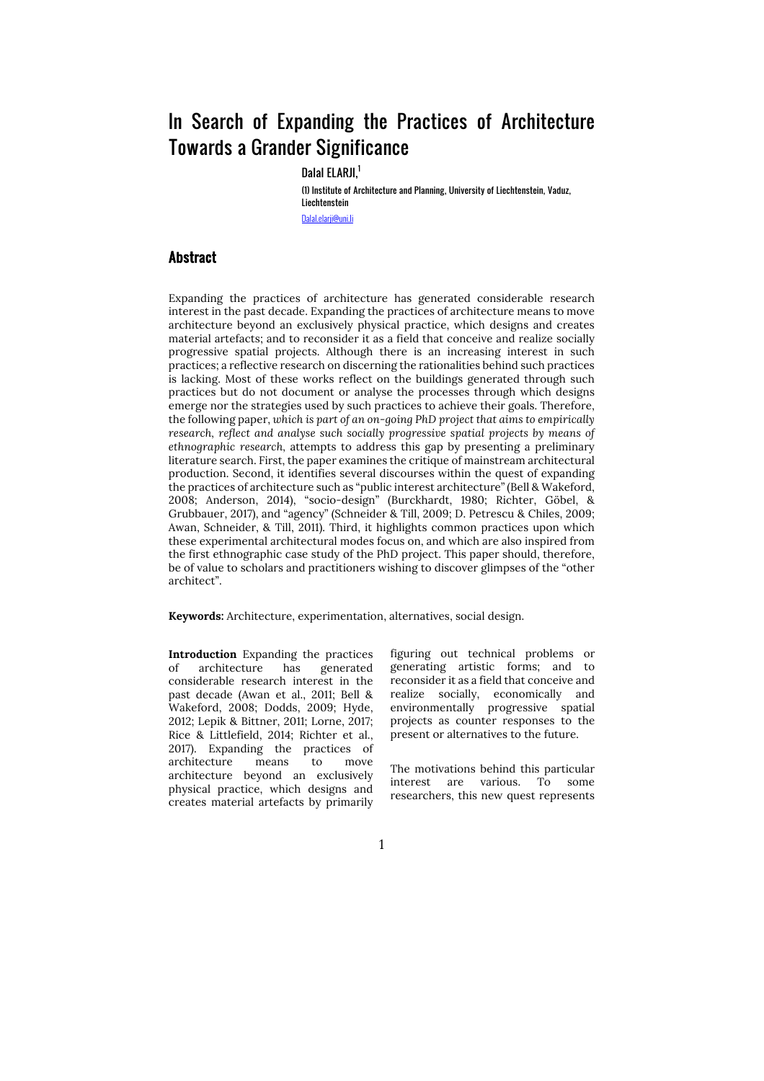# In Search of Expanding the Practices of Architecture Towards a Grander Significance

Dalal ELARJI,<sup>1</sup>

(1) Institute of Architecture and Planning, University of Liechtenstein, Vaduz, Liechtenstein

Dalal.elarji@uni.li

#### Abstract

Expanding the practices of architecture has generated considerable research interest in the past decade. Expanding the practices of architecture means to move architecture beyond an exclusively physical practice, which designs and creates material artefacts; and to reconsider it as a field that conceive and realize socially progressive spatial projects. Although there is an increasing interest in such practices; a reflective research on discerning the rationalities behind such practices is lacking. Most of these works reflect on the buildings generated through such practices but do not document or analyse the processes through which designs emerge nor the strategies used by such practices to achieve their goals. Therefore, the following paper, *which is part of an on-going PhD project that aims to empirically research, reflect and analyse such socially progressive spatial projects by means of ethnographic research,* attempts to address this gap by presenting a preliminary literature search. First, the paper examines the critique of mainstream architectural production. Second, it identifies several discourses within the quest of expanding the practices of architecture such as "public interest architecture" (Bell & Wakeford, 2008; Anderson, 2014), "socio-design" (Burckhardt, 1980; Richter, Göbel, & Grubbauer, 2017), and "agency" (Schneider & Till, 2009; D. Petrescu & Chiles, 2009; Awan, Schneider, & Till, 2011). Third, it highlights common practices upon which these experimental architectural modes focus on, and which are also inspired from the first ethnographic case study of the PhD project. This paper should, therefore, be of value to scholars and practitioners wishing to discover glimpses of the "other architect".

**Keywords:** Architecture, experimentation, alternatives, social design.

**Introduction** Expanding the practices of architecture has generated considerable research interest in the past decade (Awan et al., 2011; Bell & Wakeford, 2008; Dodds, 2009; Hyde, 2012; Lepik & Bittner, 2011; Lorne, 2017; Rice & Littlefield, 2014; Richter et al., 2017). Expanding the practices of architecture means to move architecture beyond an exclusively physical practice, which designs and creates material artefacts by primarily

figuring out technical problems or generating artistic forms; and to reconsider it as a field that conceive and realize socially, economically and environmentally progressive spatial projects as counter responses to the present or alternatives to the future.

The motivations behind this particular interest are various. To some researchers, this new quest represents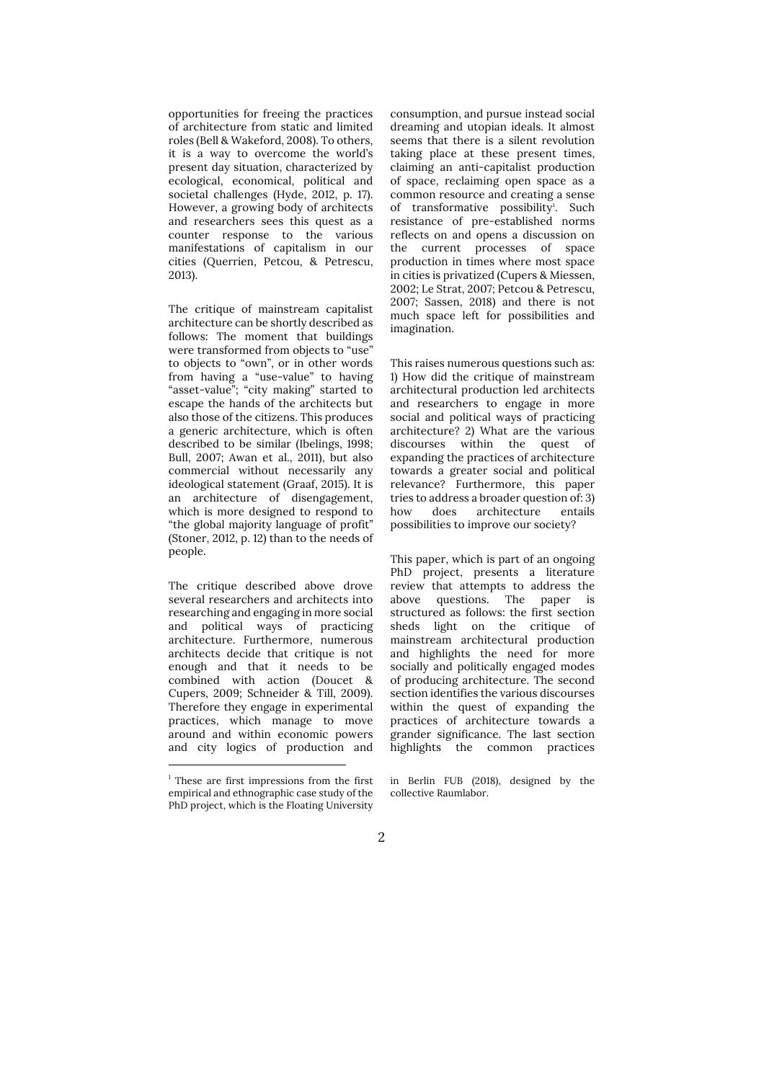opportunities for freeing the practices of architecture from static and limited roles (Bell & Wakeford, 2008). To others, it is a way to overcome the world's present day situation, characterized by ecological, economical, political and societal challenges (Hyde, 2012, p. 17). However, a growing body of architects and researchers sees this quest as a counter response to the various manifestations of capitalism in our cities (Querrien, Petcou, & Petrescu, 2013).

The critique of mainstream capitalist architecture can be shortly described as follows: The moment that buildings were transformed from objects to "use" to objects to "own", or in other words from having a "use-value" to having "asset-value"; "city making" started to escape the hands of the architects but also those of the citizens. This produces a generic architecture, which is often described to be similar (Ibelings, 1998; Bull, 2007; Awan et al., 2011), but also commercial without necessarily any ideological statement (Graaf, 2015). It is an architecture of disengagement, which is more designed to respond to "the global majority language of profit" (Stoner, 2012, p. 12) than to the needs of people.

The critique described above drove several researchers and architects into researching and engaging in more social and political ways of practicing architecture. Furthermore, numerous architects decide that critique is not enough and that it needs to be combined with action (Doucet & Cupers, 2009; Schneider & Till, 2009). Therefore they engage in experimental practices, which manage to move around and within economic powers and city logics of production and consumption, and pursue instead social dreaming and utopian ideals. It almost seems that there is a silent revolution taking place at these present times, claiming an anti-capitalist production of space, reclaiming open space as a common resource and creating a sense of transformative possibility<sup>1</sup>. Such resistance of pre-established norms reflects on and opens a discussion on the current processes of space production in times where most space in cities is privatized (Cupers & Miessen, 2002; Le Strat, 2007; Petcou & Petrescu, 2007; Sassen, 2018) and there is not much space left for possibilities and imagination.

This raises numerous questions such as: 1) How did the critique of mainstream architectural production led architects and researchers to engage in more social and political ways of practicing architecture? 2) What are the various discourses within the quest of expanding the practices of architecture towards a greater social and political relevance? Furthermore, this paper tries to address a broader question of: 3) how does architecture entails possibilities to improve our society?

This paper, which is part of an ongoing PhD project, presents a literature review that attempts to address the above questions. The paper is structured as follows: the first section sheds light on the critique of mainstream architectural production and highlights the need for more socially and politically engaged modes of producing architecture. The second section identifies the various discourses within the quest of expanding the practices of architecture towards a grander significance. The last section highlights the common practices

in Berlin FUB (2018), designed by the collective Raumlabor.

 $1$ <sup>1</sup> These are first impressions from the first empirical and ethnographic case study of the PhD project, which is the Floating University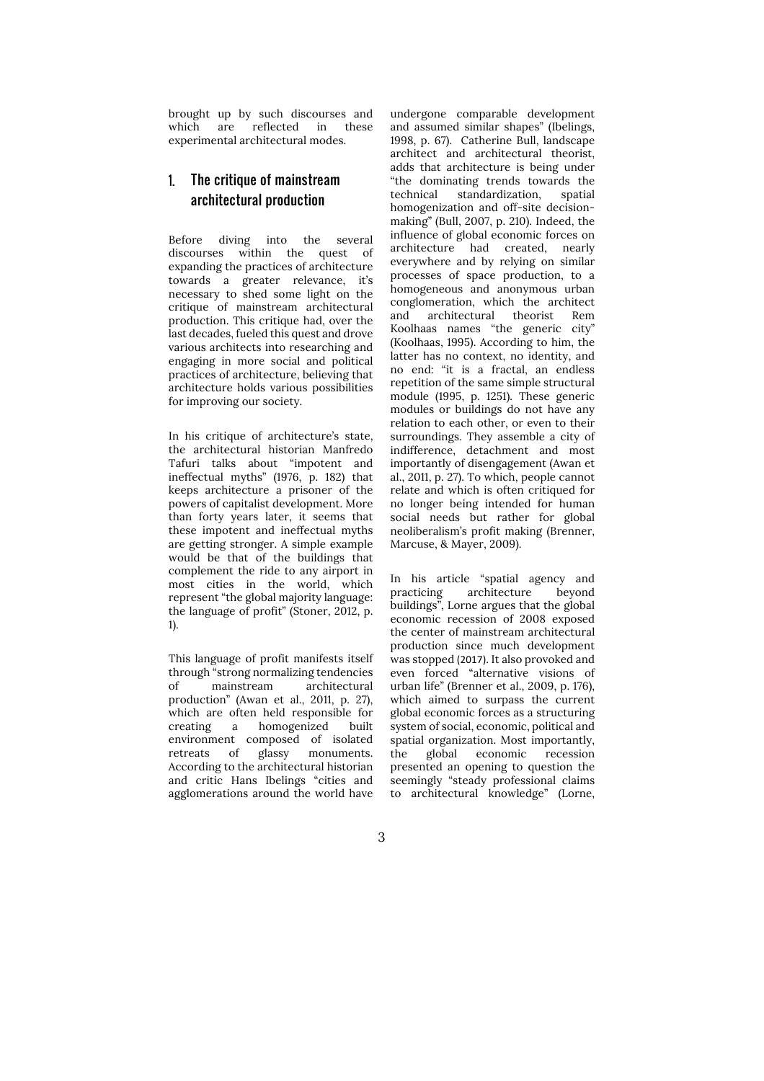brought up by such discourses and which are reflected in these experimental architectural modes.

## 1. The critique of mainstream architectural production

Before diving into the several discourses within the quest of expanding the practices of architecture towards a greater relevance, it's necessary to shed some light on the critique of mainstream architectural production. This critique had, over the last decades, fueled this quest and drove various architects into researching and engaging in more social and political practices of architecture, believing that architecture holds various possibilities for improving our society.

In his critique of architecture's state, the architectural historian Manfredo Tafuri talks about "impotent and ineffectual myths" (1976, p. 182) that keeps architecture a prisoner of the powers of capitalist development. More than forty years later, it seems that these impotent and ineffectual myths are getting stronger. A simple example would be that of the buildings that complement the ride to any airport in most cities in the world, which represent "the global majority language: the language of profit" (Stoner, 2012, p. 1).

This language of profit manifests itself through "strong normalizing tendencies of mainstream architectural production" (Awan et al., 2011, p. 27), which are often held responsible for creating a homogenized built environment composed of isolated retreats of glassy monuments. According to the architectural historian and critic Hans Ibelings "cities and agglomerations around the world have

undergone comparable development and assumed similar shapes" (Ibelings, 1998, p. 67). Catherine Bull, landscape architect and architectural theorist, adds that architecture is being under "the dominating trends towards the technical standardization, spatial homogenization and off-site decisionmaking" (Bull, 2007, p. 210). Indeed, the influence of global economic forces on architecture had created, nearly everywhere and by relying on similar processes of space production, to a homogeneous and anonymous urban conglomeration, which the architect and architectural theorist Rem Koolhaas names "the generic city" (Koolhaas, 1995). According to him, the latter has no context, no identity, and no end: "it is a fractal, an endless repetition of the same simple structural module (1995, p. 1251). These generic modules or buildings do not have any relation to each other, or even to their surroundings. They assemble a city of indifference, detachment and most importantly of disengagement (Awan et al., 2011, p. 27). To which, people cannot relate and which is often critiqued for no longer being intended for human social needs but rather for global neoliberalism's profit making (Brenner, Marcuse, & Mayer, 2009).

In his article "spatial agency and practicing architecture beyond buildings", Lorne argues that the global economic recession of 2008 exposed the center of mainstream architectural production since much development was stopped (2017). It also provoked and even forced "alternative visions of urban life" (Brenner et al., 2009, p. 176), which aimed to surpass the current global economic forces as a structuring system of social, economic, political and spatial organization. Most importantly, the global economic recession presented an opening to question the seemingly "steady professional claims to architectural knowledge" (Lorne,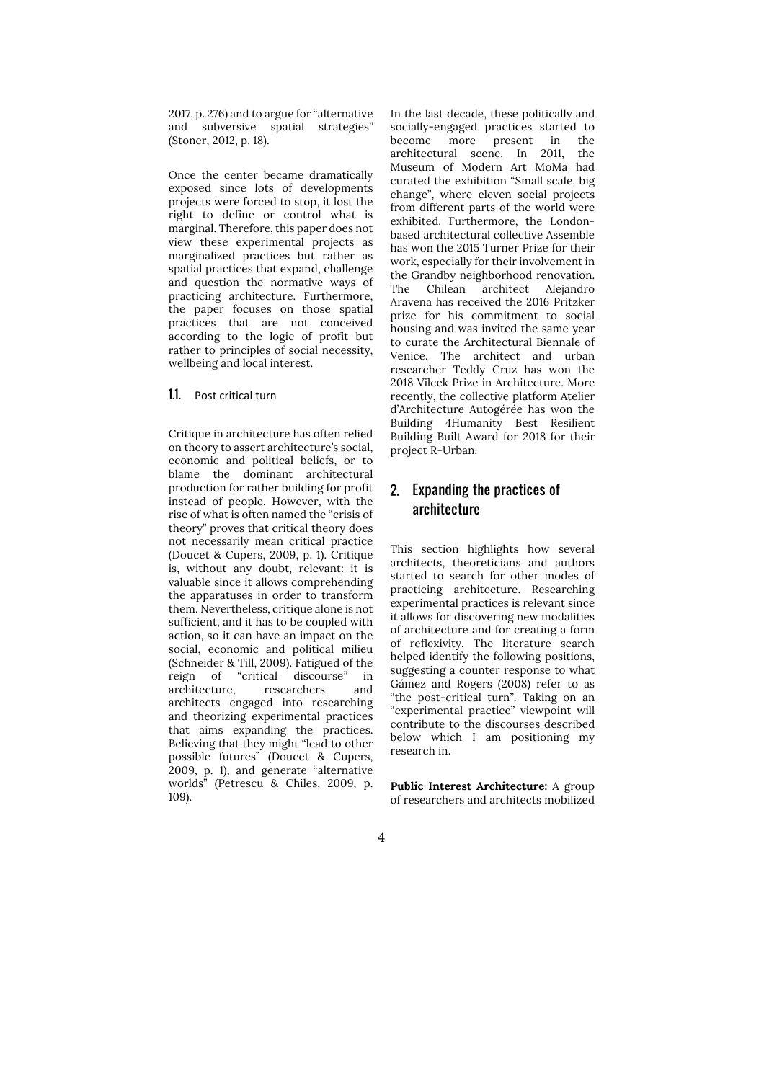2017, p. 276) and to argue for "alternative and subversive spatial strategies" (Stoner, 2012, p. 18).

Once the center became dramatically exposed since lots of developments projects were forced to stop, it lost the right to define or control what is marginal. Therefore, this paper does not view these experimental projects as marginalized practices but rather as spatial practices that expand, challenge and question the normative ways of practicing architecture. Furthermore, the paper focuses on those spatial practices that are not conceived according to the logic of profit but rather to principles of social necessity, wellbeing and local interest.

**1.1.** Post critical turn

Critique in architecture has often relied on theory to assert architecture's social, economic and political beliefs, or to blame the dominant architectural production for rather building for profit instead of people. However, with the rise of what is often named the "crisis of theory" proves that critical theory does not necessarily mean critical practice (Doucet & Cupers, 2009, p. 1). Critique is, without any doubt, relevant: it is valuable since it allows comprehending the apparatuses in order to transform them. Nevertheless, critique alone is not sufficient, and it has to be coupled with action, so it can have an impact on the social, economic and political milieu (Schneider & Till, 2009). Fatigued of the reign of "critical discourse" in architecture, researchers and architects engaged into researching and theorizing experimental practices that aims expanding the practices. Believing that they might "lead to other possible futures" (Doucet & Cupers, 2009, p. 1), and generate "alternative worlds" (Petrescu & Chiles, 2009, p. 109).

In the last decade, these politically and socially-engaged practices started to become more present in the architectural scene. In 2011, the Museum of Modern Art MoMa had curated the exhibition "Small scale, big change", where eleven social projects from different parts of the world were exhibited. Furthermore, the Londonbased architectural collective Assemble has won the 2015 Turner Prize for their work, especially for their involvement in the Grandby neighborhood renovation. The Chilean architect Alejandro Aravena has received the 2016 Pritzker prize for his commitment to social housing and was invited the same year to curate the Architectural Biennale of Venice. The architect and urban researcher Teddy Cruz has won the 2018 Vilcek Prize in Architecture. More recently, the collective platform Atelier d'Architecture Autogérée has won the Building 4Humanity Best Resilient Building Built Award for 2018 for their project R-Urban.

### 2. Expanding the practices of architecture

This section highlights how several architects, theoreticians and authors started to search for other modes of practicing architecture. Researching experimental practices is relevant since it allows for discovering new modalities of architecture and for creating a form of reflexivity. The literature search helped identify the following positions, suggesting a counter response to what Gámez and Rogers (2008) refer to as "the post-critical turn". Taking on an "experimental practice" viewpoint will contribute to the discourses described below which I am positioning my research in.

**Public Interest Architecture:** A group of researchers and architects mobilized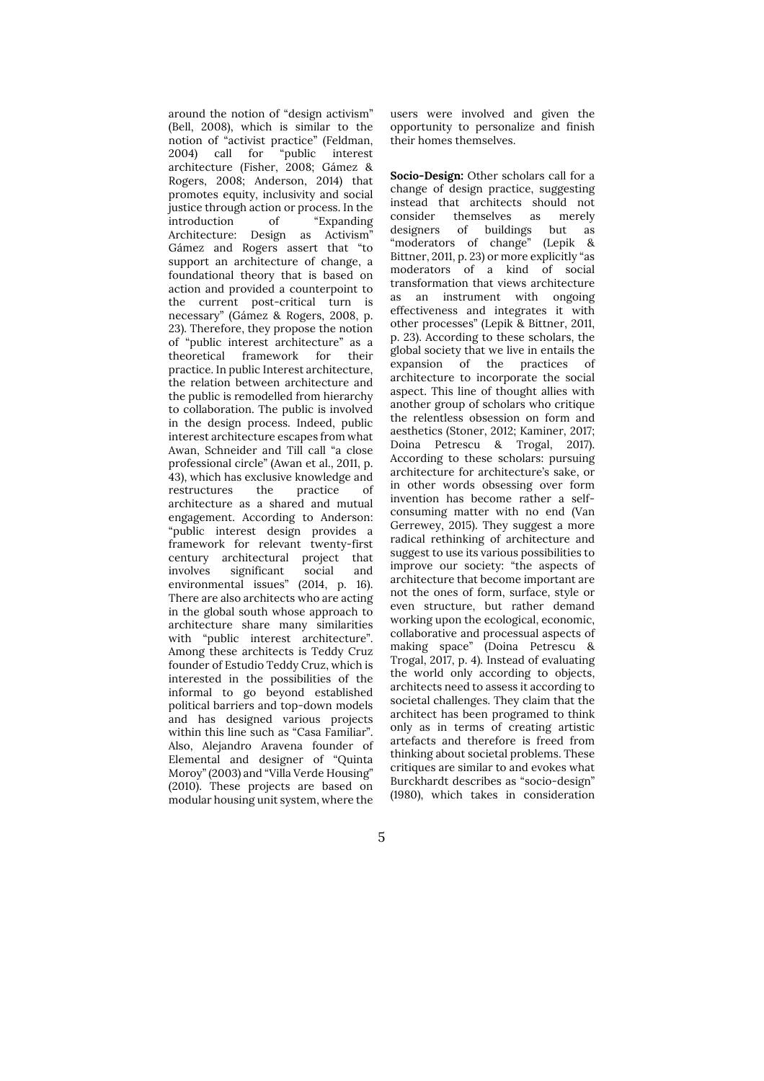around the notion of "design activism" (Bell, 2008), which is similar to the notion of "activist practice" (Feldman, 2004) call for "public interest architecture (Fisher, 2008; Gámez & Rogers, 2008; Anderson, 2014) that promotes equity, inclusivity and social justice through action or process. In the introduction of "Expanding" introduction of "Expanding Architecture: Design as Activism" Gámez and Rogers assert that "to support an architecture of change, a foundational theory that is based on action and provided a counterpoint to the current post-critical turn is necessary" (Gámez & Rogers, 2008, p. 23). Therefore, they propose the notion of "public interest architecture" as a theoretical framework for their practice. In public Interest architecture, the relation between architecture and the public is remodelled from hierarchy to collaboration. The public is involved in the design process. Indeed, public interest architecture escapes from what Awan, Schneider and Till call "a close professional circle" (Awan et al., 2011, p. 43), which has exclusive knowledge and<br>restructures the practice of restructures the practice of architecture as a shared and mutual engagement. According to Anderson: "public interest design provides a framework for relevant twenty-first century architectural project that involves significant social and environmental issues" (2014, p. 16). There are also architects who are acting in the global south whose approach to architecture share many similarities with "public interest architecture". Among these architects is Teddy Cruz founder of Estudio Teddy Cruz, which is interested in the possibilities of the informal to go beyond established political barriers and top-down models and has designed various projects within this line such as "Casa Familiar". Also, Alejandro Aravena founder of Elemental and designer of "Quinta Moroy" (2003) and "Villa Verde Housing" (2010). These projects are based on modular housing unit system, where the

users were involved and given the opportunity to personalize and finish their homes themselves.

**Socio-Design:** Other scholars call for a change of design practice, suggesting instead that architects should not themselves designers of buildings but as "moderators of change" (Lepik & Bittner, 2011, p. 23) or more explicitly "as moderators of a kind of social transformation that views architecture as an instrument with ongoing effectiveness and integrates it with other processes" (Lepik & Bittner, 2011, p. 23). According to these scholars, the global society that we live in entails the expansion of the practices of architecture to incorporate the social aspect. This line of thought allies with another group of scholars who critique the relentless obsession on form and aesthetics (Stoner, 2012; Kaminer, 2017; Doina Petrescu & Trogal, 2017). According to these scholars: pursuing architecture for architecture's sake, or in other words obsessing over form invention has become rather a selfconsuming matter with no end (Van Gerrewey, 2015). They suggest a more radical rethinking of architecture and suggest to use its various possibilities to improve our society: "the aspects of architecture that become important are not the ones of form, surface, style or even structure, but rather demand working upon the ecological, economic, collaborative and processual aspects of making space" (Doina Petrescu & Trogal, 2017, p. 4). Instead of evaluating the world only according to objects, architects need to assess it according to societal challenges. They claim that the architect has been programed to think only as in terms of creating artistic artefacts and therefore is freed from thinking about societal problems. These critiques are similar to and evokes what Burckhardt describes as "socio-design" (1980), which takes in consideration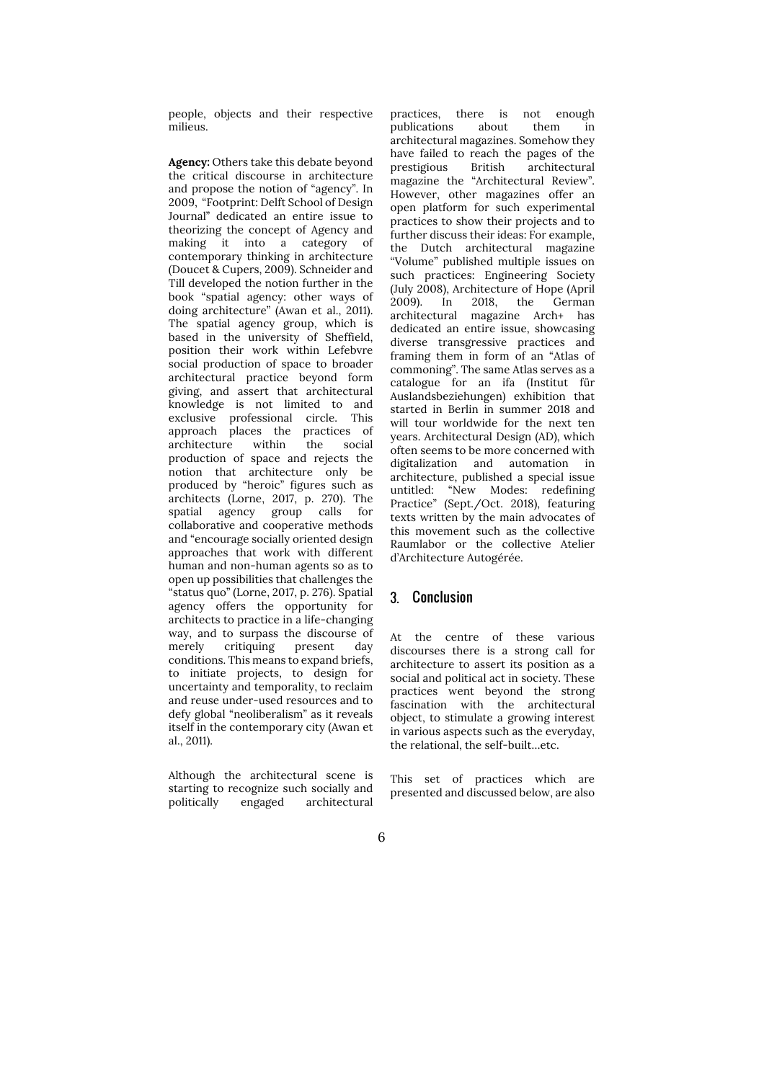people, objects and their respective milieus.

**Agency:** Others take this debate beyond the critical discourse in architecture and propose the notion of "agency". In 2009, "Footprint: Delft School of Design Journal" dedicated an entire issue to theorizing the concept of Agency and making it into a category of contemporary thinking in architecture (Doucet & Cupers, 2009). Schneider and Till developed the notion further in the book "spatial agency: other ways of doing architecture" (Awan et al., 2011). The spatial agency group, which is based in the university of Sheffield. position their work within Lefebvre social production of space to broader architectural practice beyond form giving, and assert that architectural knowledge is not limited to and exclusive professional circle. This approach places the practices of architecture within the social production of space and rejects the notion that architecture only be produced by "heroic" figures such as architects (Lorne, 2017, p. 270). The spatial agency group calls for collaborative and cooperative methods and "encourage socially oriented design approaches that work with different human and non-human agents so as to open up possibilities that challenges the "status quo" (Lorne, 2017, p. 276). Spatial agency offers the opportunity for architects to practice in a life-changing way, and to surpass the discourse of merely critiquing present day conditions. This means to expand briefs, to initiate projects, to design for uncertainty and temporality, to reclaim and reuse under-used resources and to defy global "neoliberalism" as it reveals itself in the contemporary city (Awan et al., 2011).

Although the architectural scene is starting to recognize such socially and politically engaged architectural

practices, there is not enough publications about them in architectural magazines. Somehow they have failed to reach the pages of the prestigious British architectural magazine the "Architectural Review". However, other magazines offer an open platform for such experimental practices to show their projects and to further discuss their ideas: For example, the Dutch architectural magazine "Volume" published multiple issues on such practices: Engineering Society (July 2008), Architecture of Hope (April 2009). In 2018, the German architectural magazine Arch+ has dedicated an entire issue, showcasing diverse transgressive practices and framing them in form of an "Atlas of commoning". The same Atlas serves as a catalogue for an ifa (Institut für Auslandsbeziehungen) exhibition that started in Berlin in summer 2018 and will tour worldwide for the next ten years. Architectural Design (AD), which often seems to be more concerned with digitalization and automation in architecture, published a special issue untitled: "New Modes: redefining Practice" (Sept./Oct. 2018), featuring texts written by the main advocates of this movement such as the collective Raumlabor or the collective Atelier d'Architecture Autogérée.

#### 3. Conclusion

At the centre of these various discourses there is a strong call for architecture to assert its position as a social and political act in society. These practices went beyond the strong fascination with the architectural object, to stimulate a growing interest in various aspects such as the everyday, the relational, the self-built…etc.

This set of practices which are presented and discussed below, are also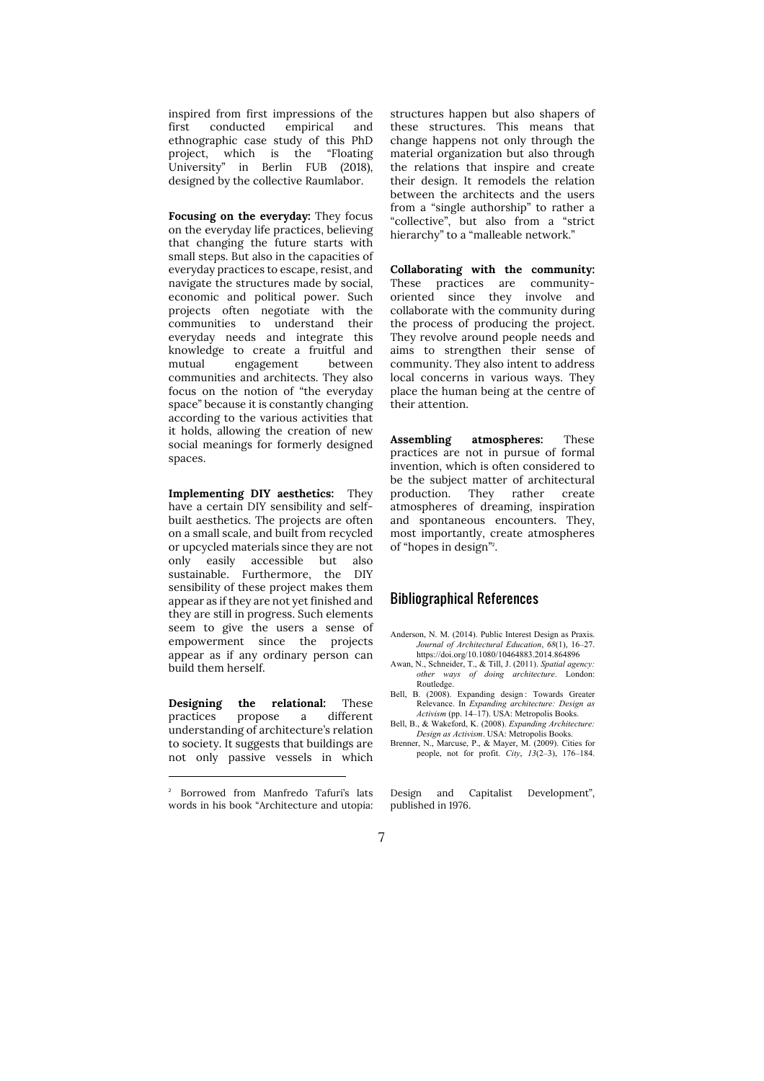inspired from first impressions of the first conducted empirical and ethnographic case study of this PhD project, which is the "Floating University" in Berlin FUB (2018), designed by the collective Raumlabor.

**Focusing on the everyday:** They focus on the everyday life practices, believing that changing the future starts with small steps. But also in the capacities of everyday practices to escape, resist, and navigate the structures made by social, economic and political power. Such projects often negotiate with the communities to understand their everyday needs and integrate this knowledge to create a fruitful and mutual engagement between communities and architects. They also focus on the notion of "the everyday space" because it is constantly changing according to the various activities that it holds, allowing the creation of new social meanings for formerly designed spaces.

**Implementing DIY aesthetics:** They have a certain DIY sensibility and selfbuilt aesthetics. The projects are often on a small scale, and built from recycled or upcycled materials since they are not only easily accessible but also sustainable. Furthermore, the DIY sensibility of these project makes them appear as if they are not yet finished and they are still in progress. Such elements seem to give the users a sense of empowerment since the projects appear as if any ordinary person can build them herself.

**Designing the relational:** These practices propose a different understanding of architecture's relation to society. It suggests that buildings are not only passive vessels in which

-

structures happen but also shapers of these structures. This means that change happens not only through the material organization but also through the relations that inspire and create their design. It remodels the relation between the architects and the users from a "single authorship" to rather a "collective", but also from a "strict hierarchy" to a "malleable network."

**Collaborating with the community:** These practices are community-<br>oriented since they involve and oriented since they involve collaborate with the community during the process of producing the project. They revolve around people needs and aims to strengthen their sense of community. They also intent to address local concerns in various ways. They place the human being at the centre of their attention.

**Assembling atmospheres:** These practices are not in pursue of formal invention, which is often considered to be the subject matter of architectural production. They rather create atmospheres of dreaming, inspiration and spontaneous encounters. They, most importantly, create atmospheres of "hopes in design"<sup>2</sup> .

#### Bibliographical References

- Anderson, N. M. (2014). Public Interest Design as Praxis. *Journal of Architectural Education*, *68*(1), 16–27. https://doi.org/10.1080/10464883.2014.864896
- Awan, N., Schneider, T., & Till, J. (2011). *Spatial agency: other ways of doing architecture*. London: Routledge.
- Bell, B. (2008). Expanding design : Towards Greater Relevance. In *Expanding architecture: Design as Activism* (pp. 14–17). USA: Metropolis Books.
- Bell, B., & Wakeford, K. (2008). *Expanding Architecture: Design as Activism*. USA: Metropolis Books.
- Brenner, N., Marcuse, P., & Mayer, M. (2009). Cities for people, not for profit. *City*, *13*(2–3), 176–184.

Design and Capitalist Development", published in 1976.



<sup>2</sup> Borrowed from Manfredo Tafuri's lats words in his book "Architecture and utopia: